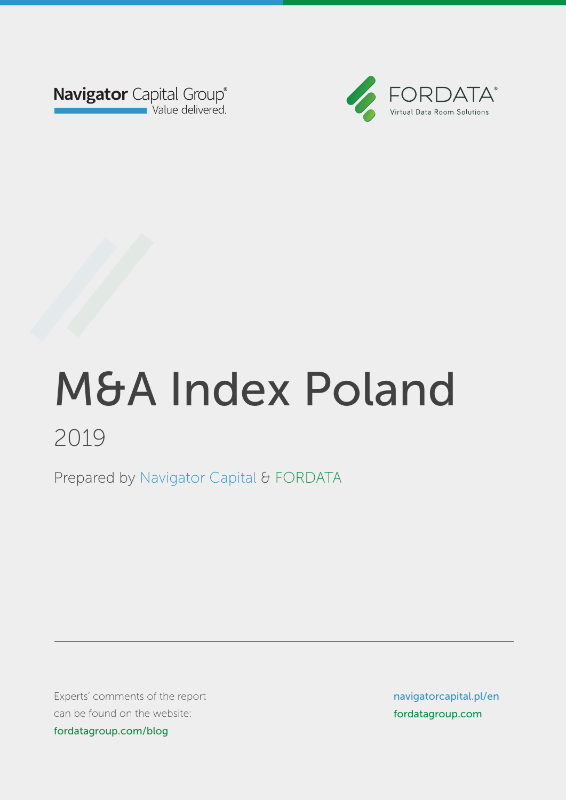



Prepared by Navigator Capital & FORDATA Prepared by Navigator Capital & FORDATA

Experts' comments of the report can be found on the website: blog.fordata.plog.for fordatagroup.com/blog

navigatorcapital.p/en navigatorcapital.pl/en fordatagroup.com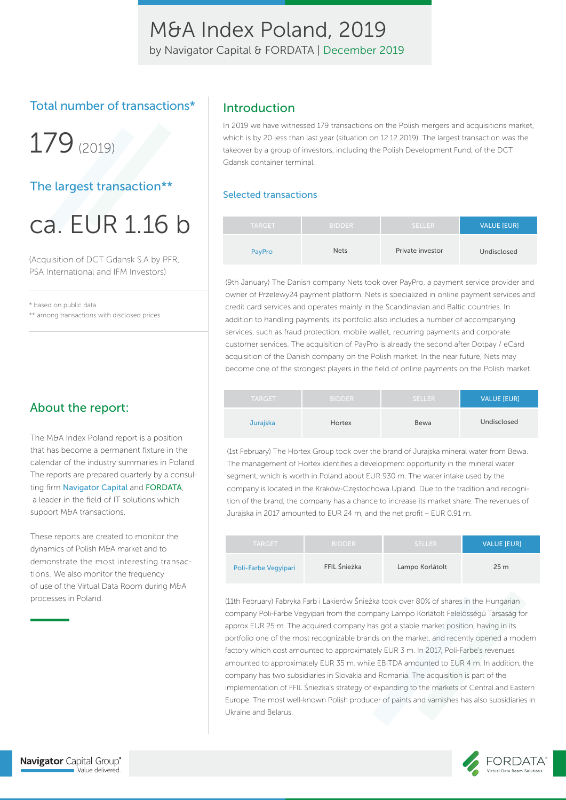by Navigator Capital & FORDATA | December 2019

### Total number of transactions\*

179(2019)

### The largest transaction\*\*

ca. EUR 1.16 b

(Acquisition of DCT Gdansk S.A by PFR, PSA International and IFM Investors)

\* based on public data

\*\* among transactions with disclosed prices

### About the report:

The M&A Index Poland report is a position that has become a permanent fixture in the calendar of the industry summaries in Poland. The reports are prepared quarterly by a consulting firm Navigator Capital and FORDATA, a leader in the field of IT solutions which support M&A transactions.

These reports are created to monitor the dynamics of Polish M&A market and to demonstrate the most interesting transactions. We also monitor the frequency of use of the Virtual Data Room during M&A processes in Poland.

### Introduction

In 2019 we have witnessed 179 transactions on the Polish mergers and acquisitions market, which is by 20 less than last year (situation on 12.12.2019). The largest transaction was the takeover by a group of investors, including the Polish Development Fund, of the DCT Gdansk container terminal.

#### Selected transactions

| <b>TARGET</b> | <b>BIDDER</b> | <b>SELLER</b>    | <b>VALUE [EUR]</b> |
|---------------|---------------|------------------|--------------------|
| PayPro        | <b>Nets</b>   | Private investor | Undisclosed        |

(9th January) The Danish company Nets took over PayPro, a payment service provider and owner of Przelewy24 payment platform. Nets is specialized in online payment services and credit card services and operates mainly in the Scandinavian and Baltic countries. In addition to handling payments, its portfolio also includes a number of accompanying services, such as fraud protection, mobile wallet, recurring payments and corporate customer services. The acquisition of PayPro is already the second after Dotpay / eCard acquisition of the Danish company on the Polish market. In the near future, Nets may become one of the strongest players in the field of online payments on the Polish market.

| <b>TARGET</b>   | <b>BIDDER</b> | <b>SELLER</b> | <b>VALUE [EUR]</b> |
|-----------------|---------------|---------------|--------------------|
| <b>Jurajska</b> | Hortex        | Bewa          | Undisclosed        |

(1st February) The Hortex Group took over the brand of Jurajska mineral water from Bewa. The management of Hortex identifies a development opportunity in the mineral water segment, which is worth in Poland about EUR 930 m. The water intake used by the company is located in the Kraków-Częstochowa Upland. Due to the tradition and recognition of the brand, the company has a chance to increase its market share. The revenues of Jurajska in 2017 amounted to EUR 24 m, and the net profit – EUR 0.91 m.

| <b>TARGET</b>        | <b>BIDDER</b> | <b>SELLER</b>   | <b>VALUE IEURI</b> |
|----------------------|---------------|-----------------|--------------------|
| Poli-Farbe Vegyipari | FFIL Śnieżka  | Lampo Korlátolt | 25 <sub>m</sub>    |

(11th February) Fabryka Farb i Lakierów Śnieżka took over 80% of shares in the Hungarian company Poli-Farbe Vegyipari from the company Lampo Korlátolt Felelősségű Társaság for approx EUR 25 m. The acquired company has got a stable market position, having in its portfolio one of the most recognizable brands on the market, and recently opened a modern factory which cost amounted to approximately EUR 3 m. In 2017, Poli-Farbe's revenues amounted to approximately EUR 35 m, while EBITDA amounted to EUR 4 m. In addition, the company has two subsidiaries in Slovakia and Romania. The acquisition is part of the implementation of FFIL Śnieżka's strategy of expanding to the markets of Central and Eastern Europe. The most well-known Polish producer of paints and varnishes has also subsidiaries in Ukraine and Belarus.

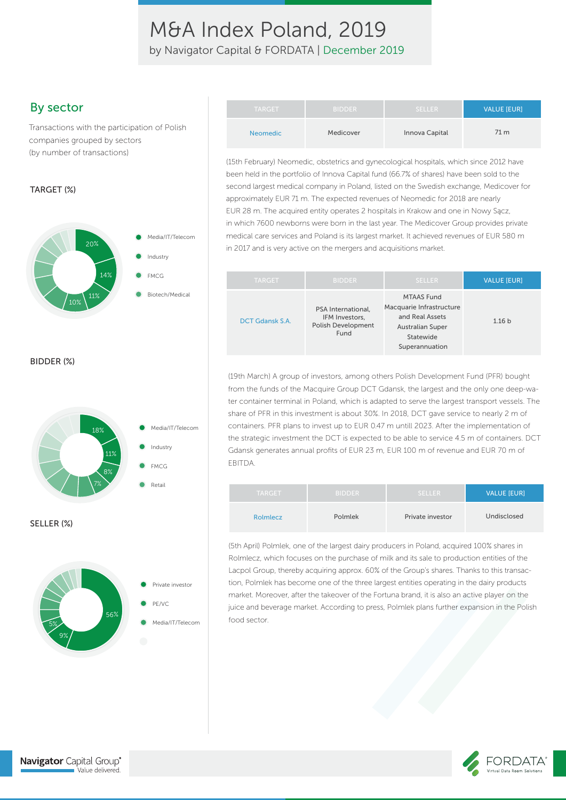by Navigator Capital & FORDATA | December 2019

### By sector

Transactions with the participation of Polish companies grouped by sectors (by number of transactions)

#### TARGET (%)



BIDDER (%)





Navigator Capital Group®

Value delivered.

| <b>TARGET</b>   | <b>BIDDER</b> | <b>SELLER</b>  | <b>VALUE [EUR]</b> |
|-----------------|---------------|----------------|--------------------|
| <b>Neomedic</b> | Medicover     | Innova Capital | 71 m               |

(15th February) Neomedic, obstetrics and gynecological hospitals, which since 2012 have been held in the portfolio of Innova Capital fund (66.7% of shares) have been sold to the second largest medical company in Poland, listed on the Swedish exchange, Medicover for approximately EUR 71 m. The expected revenues of Neomedic for 2018 are nearly EUR 28 m. The acquired entity operates 2 hospitals in Krakow and one in Nowy Sącz, in which 7600 newborns were born in the last year. The Medicover Group provides private medical care services and Poland is its largest market. It achieved revenues of EUR 580 m in 2017 and is very active on the mergers and acquisitions market.

| <b>TARGET</b>   | <b>BIDDER</b>                                                             | <b>SELLER</b>                                                                                                              | VALUE [EUR]       |
|-----------------|---------------------------------------------------------------------------|----------------------------------------------------------------------------------------------------------------------------|-------------------|
| DCT Gdansk S.A. | PSA International,<br>IFM Investors.<br><b>Polish Development</b><br>Fund | <b>MTAAS Fund</b><br>Macquarie Infrastructure<br>and Real Assets<br><b>Australian Super</b><br>Statewide<br>Superannuation | 1.16 <sub>b</sub> |

(19th March) A group of investors, among others Polish Development Fund (PFR) bought from the funds of the Macquire Group DCT Gdansk, the largest and the only one deep-water container terminal in Poland, which is adapted to serve the largest transport vessels. The share of PFR in this investment is about 30%. In 2018, DCT gave service to nearly 2 m of containers. PFR plans to invest up to EUR 0.47 m untill 2023. After the implementation of the strategic investment the DCT is expected to be able to service 4.5 m of containers. DCT Gdansk generates annual profits of EUR 23 m, EUR 100 m of revenue and EUR 70 m of EBITDA.

| <b>TARGET</b>   | <b>BIDDER</b> | <b>SELLER</b>    | VALUE [EUR] |
|-----------------|---------------|------------------|-------------|
| <b>Rolmlecz</b> | Polmlek       | Private investor | Undisclosed |

(5th April) Polmlek, one of the largest dairy producers in Poland, acquired 100% shares in Rolmlecz, which focuses on the purchase of milk and its sale to production entities of the Lacpol Group, thereby acquiring approx. 60% of the Group's shares. Thanks to this transaction, Polmlek has become one of the three largest entities operating in the dairy products market. Moreover, after the takeover of the Fortuna brand, it is also an active player on the juice and beverage market. According to press, Polmlek plans further expansion in the Polish food sector.



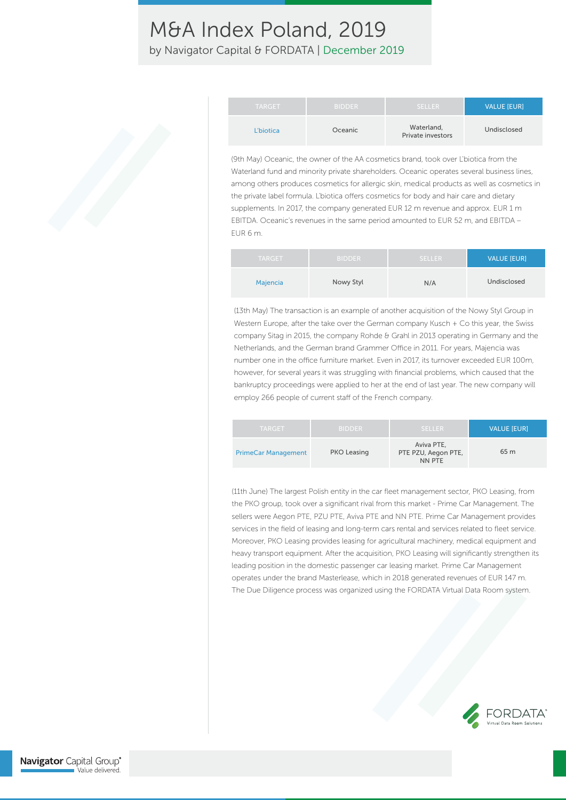by Navigator Capital & FORDATA | December 2019

| <b>TARGET</b> | <b>BIDDER</b> | <b>SELLER</b>                   | <b>VALUE [EUR]</b> |
|---------------|---------------|---------------------------------|--------------------|
| L'biotica     | Oceanic       | Waterland,<br>Private investors | Undisclosed        |

(9th May) Oceanic, the owner of the AA cosmetics brand, took over L'biotica from the Waterland fund and minority private shareholders. Oceanic operates several business lines, among others produces cosmetics for allergic skin, medical products as well as cosmetics in the private label formula. L'biotica offers cosmetics for body and hair care and dietary supplements. In 2017, the company generated EUR 12 m revenue and approx. EUR 1 m EBITDA. Oceanic's revenues in the same period amounted to EUR 52 m, and EBITDA – EUR 6 m.

| <b>TARGET</b> | <b>BIDDER</b> | <b>SELLER</b> | <b>VALUE [EUR]</b> |
|---------------|---------------|---------------|--------------------|
| Majencia      | Nowy Styl     | N/A           | Undisclosed        |

(13th May) The transaction is an example of another acquisition of the Nowy Styl Group in Western Europe, after the take over the German company Kusch + Co this year, the Swiss company Sitag in 2015, the company Rohde & Grahl in 2013 operating in Germany and the Netherlands, and the German brand Grammer Office in 2011. For years, Majencia was number one in the office furniture market. Even in 2017, its turnover exceeded EUR 100m, however, for several years it was struggling with financial problems, which caused that the bankruptcy proceedings were applied to her at the end of last year. The new company will employ 266 people of current staff of the French company.

| <b>TARGET</b>              | <b>BIDDER</b> | <b>SELLER</b>                               | <b>VALUE IEURI</b> |
|----------------------------|---------------|---------------------------------------------|--------------------|
| <b>PrimeCar Management</b> | PKO Leasing   | Aviva PTE.<br>PTE PZU, Aegon PTE,<br>NN PTE | 65 m               |

(11th June) The largest Polish entity in the car fleet management sector, PKO Leasing, from the PKO group, took over a significant rival from this market - Prime Car Management. The sellers were Aegon PTE, PZU PTE, Aviva PTE and NN PTE. Prime Car Management provides services in the field of leasing and long-term cars rental and services related to fleet service. Moreover, PKO Leasing provides leasing for agricultural machinery, medical equipment and heavy transport equipment. After the acquisition, PKO Leasing will significantly strengthen its leading position in the domestic passenger car leasing market. Prime Car Management operates under the brand Masterlease, which in 2018 generated revenues of EUR 147 m. The Due Diligence process was organized using the FORDATA Virtual Data Room system.

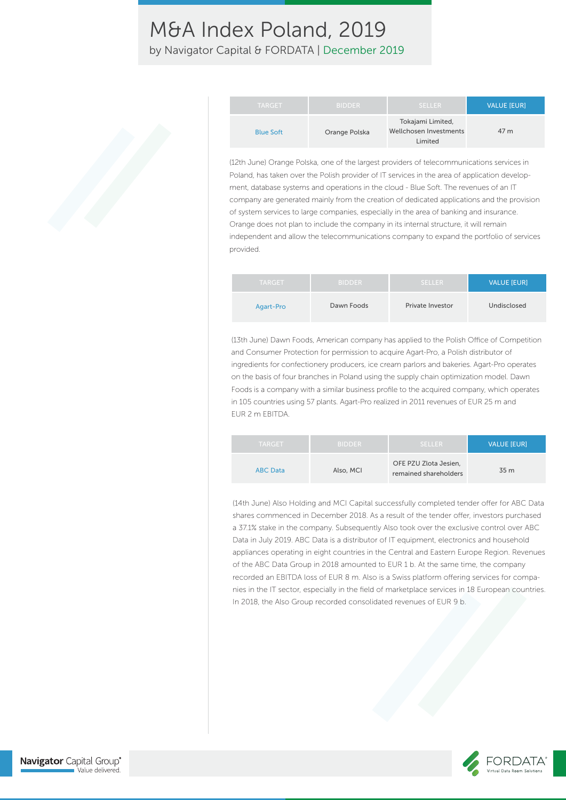by Navigator Capital & FORDATA | December 2019

| <b>TARGET</b>    | <b>BIDDER</b> | <b>SELLER</b>                                          | <b>VALUE [EUR]</b> |
|------------------|---------------|--------------------------------------------------------|--------------------|
| <b>Blue Soft</b> | Orange Polska | Tokajami Limited,<br>Wellchosen Investments<br>Limited | 47 m               |

(12th June) Orange Polska, one of the largest providers of telecommunications services in Poland, has taken over the Polish provider of IT services in the area of application development, database systems and operations in the cloud - Blue Soft. The revenues of an IT company are generated mainly from the creation of dedicated applications and the provision of system services to large companies, especially in the area of banking and insurance. Orange does not plan to include the company in its internal structure, it will remain independent and allow the telecommunications company to expand the portfolio of services provided.

| <b>TARGET</b> | <b>BIDDER</b> | <b>SELLER</b>           | <b>VALUE [EUR]</b> |
|---------------|---------------|-------------------------|--------------------|
| Agart-Pro     | Dawn Foods    | <b>Private Investor</b> | Undisclosed        |

(13th June) Dawn Foods, American company has applied to the Polish Office of Competition and Consumer Protection for permission to acquire Agart-Pro, a Polish distributor of ingredients for confectionery producers, ice cream parlors and bakeries. Agart-Pro operates on the basis of four branches in Poland using the supply chain optimization model. Dawn Foods is a company with a similar business profile to the acquired company, which operates in 105 countries using 57 plants. Agart-Pro realized in 2011 revenues of EUR 25 m and EUR 2 m EBITDA.

| <b>TARGET</b>   | <b>BIDDER</b> | <b>SELLER</b>                                  | <b>VALUE [EUR]</b> |
|-----------------|---------------|------------------------------------------------|--------------------|
| <b>ABC Data</b> | Also, MCI     | OFE PZU Zlota Jesien.<br>remained shareholders | 35 m               |

(14th June) Also Holding and MCI Capital successfully completed tender offer for ABC Data shares commenced in December 2018. As a result of the tender offer, investors purchased a 37.1% stake in the company. Subsequently Also took over the exclusive control over ABC Data in July 2019. ABC Data is a distributor of IT equipment, electronics and household appliances operating in eight countries in the Central and Eastern Europe Region. Revenues of the ABC Data Group in 2018 amounted to EUR 1 b. At the same time, the company recorded an EBITDA loss of EUR 8 m. Also is a Swiss platform offering services for companies in the IT sector, especially in the field of marketplace services in 18 European countries. In 2018, the Also Group recorded consolidated revenues of EUR 9 b.

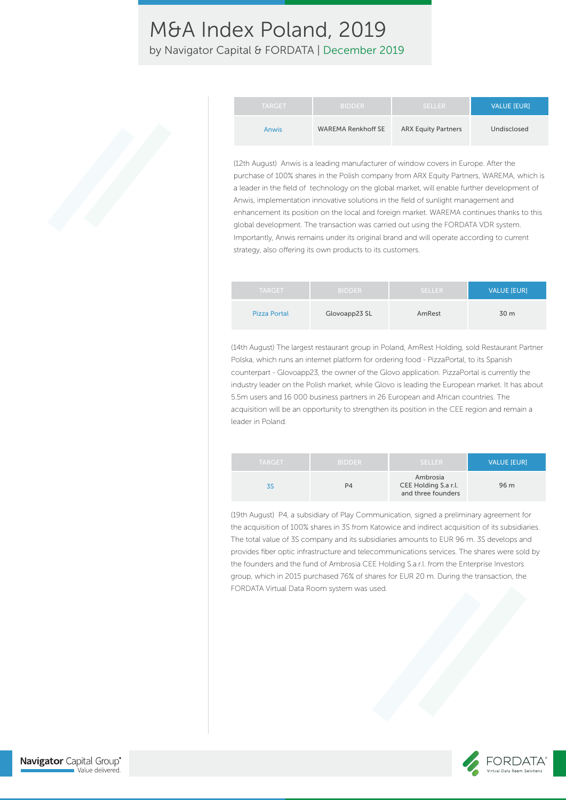by Navigator Capital & FORDATA | December 2019

| <b>TARGET</b> | <b>BIDDER</b>             | <b>SELLER</b>              | <b>VALUE [EUR]</b> |
|---------------|---------------------------|----------------------------|--------------------|
| Anwis         | <b>WAREMA Renkhoff SE</b> | <b>ARX Equity Partners</b> | Undisclosed        |

(12th August) Anwis is a leading manufacturer of window covers in Europe. After the purchase of 100% shares in the Polish company from ARX Equity Partners, WAREMA, which is a leader in the field of technology on the global market, will enable further development of Anwis, implementation innovative solutions in the field of sunlight management and enhancement its position on the local and foreign market. WAREMA continues thanks to this global development. The transaction was carried out using the FORDATA VDR system. Importantly, Anwis remains under its original brand and will operate according to current strategy, also offering its own products to its customers.

| <b>TARGET</b>       | <b>BIDDER</b> | SELLER. | <b>VALUE [EUR]</b> |
|---------------------|---------------|---------|--------------------|
| <b>Pizza Portal</b> | Glovoapp23 SL | AmRest  | 30 m               |

(14th August) The largest restaurant group in Poland, AmRest Holding, sold Restaurant Partner Polska, which runs an internet platform for ordering food - PizzaPortal, to its Spanish counterpart - Glovoapp23, the owner of the Glovo application. PizzaPortal is currently the industry leader on the Polish market, while Glovo is leading the European market. It has about 5.5m users and 16 000 business partners in 26 European and African countries. The acquisition will be an opportunity to strengthen its position in the CEE region and remain a leader in Poland.

| <b>TARGET</b> | <b>BIDDER</b> | <b>SELLER</b>                                          | <b>VALUE [EUR]</b> |
|---------------|---------------|--------------------------------------------------------|--------------------|
|               | P4            | Ambrosia<br>CEE Holding S.a r.l.<br>and three founders | 96 m               |

(19th August) P4, a subsidiary of Play Communication, signed a preliminary agreement for the acquisition of 100% shares in 3S from Katowice and indirect acquisition of its subsidiaries. The total value of 3S company and its subsidiaries amounts to EUR 96 m. 3S develops and provides fiber optic infrastructure and telecommunications services. The shares were sold by the founders and the fund of Ambrosia CEE Holding S.a.r.l. from the Enterprise Investors group, which in 2015 purchased 76% of shares for EUR 20 m. During the transaction, the FORDATA Virtual Data Room system was used.

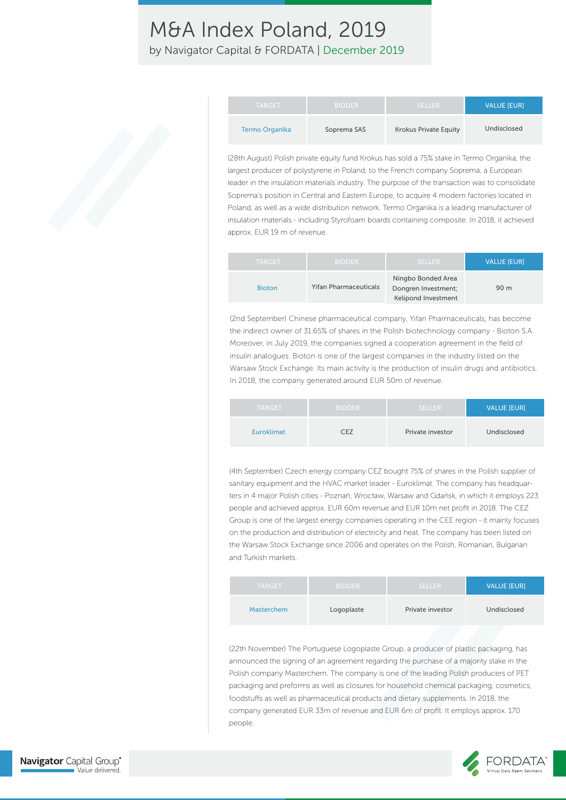by Navigator Capital & FORDATA | December 2019

| <b>TARGET</b>  | <b>BIDDER</b> | /SELLER                      | <b>VALUE IEURI</b> |
|----------------|---------------|------------------------------|--------------------|
| Termo Organika | Soprema SAS   | <b>Krokus Private Equity</b> | Undisclosed        |

(28th August) Polish private equity fund Krokus has sold a 75% stake in Termo Organika, the largest producer of polystyrene in Poland, to the French company Soprema, a European leader in the insulation materials industry. The purpose of the transaction was to consolidate Soprema's position in Central and Eastern Europe, to acquire 4 modern factories located in Poland, as well as a wide distribution network. Termo Organika is a leading manufacturer of insulation materials - including Styrofoam boards containing composite. In 2018, it achieved approx. EUR 19 m of revenue.

| <b>TARGET</b> | <b>BIDDER</b>                | 'SELLER                                                                 | <b>VALUE IEURI</b> |
|---------------|------------------------------|-------------------------------------------------------------------------|--------------------|
| <b>Bioton</b> | <b>Yifan Pharmaceuticals</b> | Ningbo Bonded Area<br>Dongren Investment;<br><b>Kelipond Investment</b> | 90 m               |

(2nd September) Chinese pharmaceutical company, Yifan Pharmaceuticals, has become the indirect owner of 31.65% of shares in the Polish biotechnology company - Bioton S.A. Moreover, in July 2019, the companies signed a cooperation agreement in the field of insulin analogues. Bioton is one of the largest companies in the industry listed on the Warsaw Stock Exchange. Its main activity is the production of insulin drugs and antibiotics. In 2018, the company generated around EUR 50m of revenue.

| <b>TARGET</b>     | <b>BIDDER</b> | <b>SELLER</b>    | <b>VALUE [EUR]</b> |
|-------------------|---------------|------------------|--------------------|
| <b>Euroklimat</b> | 7F7           | Private investor | Undisclosed        |

(4th September) Czech energy company CEZ bought 75% of shares in the Polish supplier of sanitary equipment and the HVAC market leader - Euroklimat. The company has headquarters in 4 major Polish cities - Poznań, Wrocław, Warsaw and Gdańsk, in which it employs 223 people and achieved approx. EUR 60m revenue and EUR 10m net profit in 2018. The CEZ Group is one of the largest energy companies operating in the CEE region - it mainly focuses on the production and distribution of electricity and heat. The company has been listed on the Warsaw Stock Exchange since 2006 and operates on the Polish, Romanian, Bulgarian and Turkish markets.

| <b>TARGET</b> | <b>BIDDER</b> | SELLER.          | <b>VALUE [EUR]</b> |
|---------------|---------------|------------------|--------------------|
| Masterchem    | Logoplaste    | Private investor | Undisclosed        |

(22th November) The Portuguese Logoplaste Group, a producer of plastic packaging, has announced the signing of an agreement regarding the purchase of a majority stake in the Polish company Masterchem. The company is one of the leading Polish producers of PET packaging and preforms as well as closures for household chemical packaging, cosmetics, foodstuffs as well as pharmaceutical products and dietary supplements. In 2018, the company generated EUR 33m of revenue and EUR 6m of profit. It employs approx. 170 people.

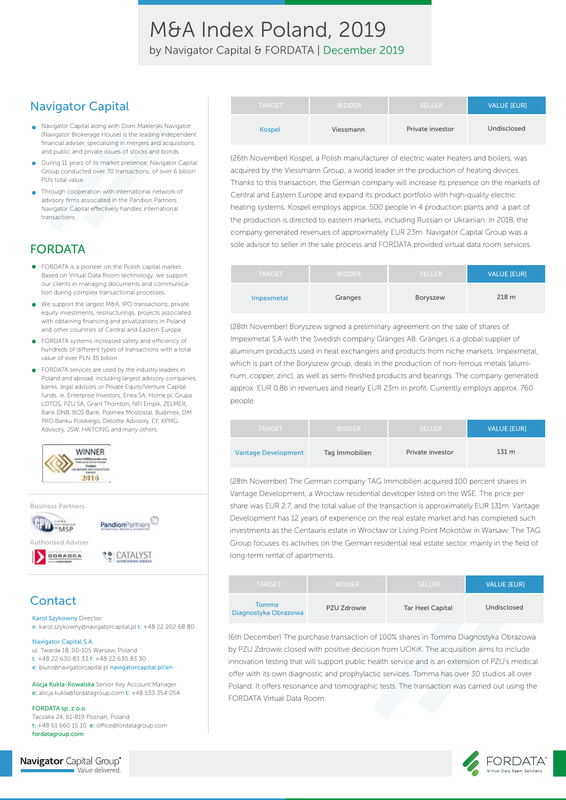M&A Index Poland, 2019 by Navigator Capital & FORDATA | December 2019

### Navigator Capital

- Navigator Capital along with Dom Maklerski Navigator (Navigator Brokerage House) is the leading independent financial adviser, specializing in mergers and acquisitions and public and private issues of stocks and bonds.
- During 11 years of its market presence, Navigator Capital Group conducted over 70 transactions, of over 6 billion PLN total value.
- Through cooperation with international network of advisory firms associated in the Pandion Partners, Navigator Capital effectively handles international transactions.

### FORDATA

- FORDATA is a pioneer on the Polish capital market. Based on Virtual Data Room technology, we support our clients in managing documents and communication during complex transactional processes.
- We support the largest M&A, IPO transactions, private  $\bullet$ equity investments, restructurings, projects associated with obtaining financing and privatizations in Poland and other countries of Central and Eastern Europe.
- FORDATA systems increased safety and efficiency of hundreds of different types of transactions with a total value of over PLN 35 billion
- FORDATA services are used by the industry leaders in Poland and abroad, including largest advisory companies, banks, legal advisors or Private Equity/Venture Capital funds, ie. Enterprise Investors, Enea SA, Home pl, Grupa LOTOS, PZU SA, Grant Thornton, NFI Empik, ZELMER, Bank DNB, BOŚ Bank, Polimex Mostostal, Budimex, DM PKO Banku Polskiego, Deloitte Advisory, EY, KPMG Advisory, JSW, HAITONG and many others.



Business Partners



### **Contact**

Karol Szykowny Director

e: karol.szykowny@navigatorcapital.pl t: +48 22 202 68 80

#### Navigator Capital S.A.

ul. Twarda 18, 00-105 Warsaw, Poland t: +48 22 630 83 33 f: +48 22 630 83 30 e: biuro@navigatorcapital.pl navigatorcapital.pl/en

Alicja Kukla-Kowalska Senior Key Account Manager e: alicja.kukla@fordatagroup.com t: +48 533 354 054

FORDATA sp. z o.o. Taczaka 24, 61-819 Poznań, Poland t:  $+48$  61 660 15 10  $e$ : office@fordatagroup.com fordatagroup.com

```
Navigator Capital Group®
    Value delivered.
```

| <b>TARGET</b> | <b>BIDDER</b> | <b>SELLER</b>    | VALUE [EUR] |
|---------------|---------------|------------------|-------------|
| <b>Kospel</b> | Viessmann     | Private investor | Undisclosed |

(26th November) Kospel, a Polish manufacturer of electric water heaters and boilers, was acquired by the Viessmann Group, a world leader in the production of heating devices. Thanks to this transaction, the German company will increase its presence on the markets of Central and Eastern Europe and expand its product portfolio with high-quality electric heating systems. Kospel employs approx. 500 people in 4 production plants and a part of the production is directed to eastern markets, including Russian or Ukrainian. In 2018, the company generated revenues of approximately EUR 23m. Navigator Capital Group was a sole advisor to seller in the sale process and FORDATA provided virtual data room services.

| <b>TARGET</b> | <b>BIDDER</b> | <b>SELLER</b> | <b>VALUE [EUR]</b> |
|---------------|---------------|---------------|--------------------|
| Impexmetal    | Granges       | Boryszew      | 218 m              |

(28th November) Boryszew signed a preliminary agreement on the sale of shares of Impexmetal S.A with the Swedish company Gränges AB. Gränges is a global supplier of aluminum products used in heat exchangers and products from niche markets. Impexmetal, which is part of the Boryszew group, deals in the production of non-ferrous metals (aluminum, copper, zinc), as well as semi-finished products and bearings. The company generated approx. EUR 0.8b in revenues and nearly EUR 23m in profit. Currently employs approx. 760 people.

| <b>TARGET</b>              | <b>BIDDER</b>  | <b>SELLER</b>    | <b>VALUE [EUR]</b> |
|----------------------------|----------------|------------------|--------------------|
| <b>Vantage Development</b> | Tag Immobilien | Private investor | 131 <sub>m</sub>   |

(28th November) The German company TAG Immobilien acquired 100 percent shares in Vantage Development, a Wrocław residential developer listed on the WSE. The price per share was EUR 2.7, and the total value of the transaction is approximately EUR 131m. Vantage Development has 12 years of experience on the real estate market and has completed such investments as the Centauris estate in Wrocław or Living Point Mokotów in Warsaw. The TAG Group focuses its activities on the German residential real estate sector, mainly in the field of long-term rental of apartments.

| <b>TARGET</b>                 | <b>BIDDER</b> | <b>SELLER</b>           | <b>VALUE [EUR]</b> |
|-------------------------------|---------------|-------------------------|--------------------|
| Tomma<br>Diagnostyka Obrazowa | PZU Zdrowie   | <b>Tar Heel Capital</b> | Undisclosed        |

(6th December) The purchase transaction of 100% shares in Tomma Diagnostyka Obrazowa by PZU Zdrowie closed with positive decision from UOKiK. The acquisition aims to include innovation testing that will support public health service and is an extension of PZU's medical offer with its own diagnostic and prophylactic services. Tomma has over 30 studios all over Poland. It offers resonance and tomographic tests. The transaction was carried out using the FORDATA Virtual Data Room.

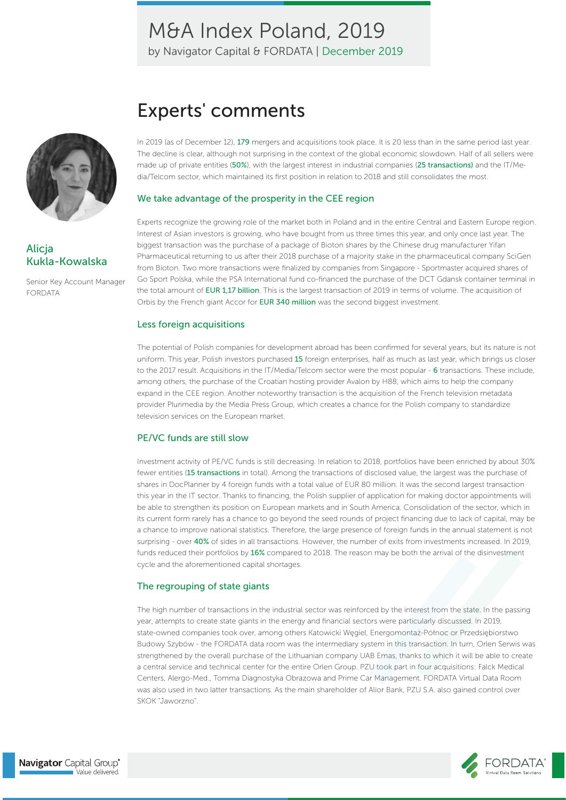by Navigator Capital & FORDATA | December 2019



Alicja Kukla-Kowalska

Senior Key Account Manager FORDATA

## Experts' comments

In 2019 (as of December 12), 179 mergers and acquisitions took place. It is 20 less than in the same period last year. The decline is clear, although not surprising in the context of the global economic slowdown. Half of all sellers were made up of private entities (50%), with the largest interest in industrial companies (25 transactions) and the IT/Media/Telcom sector, which maintained its first position in relation to 2018 and still consolidates the most.

#### We take advantage of the prosperity in the CEE region

Experts recognize the growing role of the market both in Poland and in the entire Central and Eastern Europe region. Interest of Asian investors is growing, who have bought from us three times this year, and only once last year. The biggest transaction was the purchase of a package of Bioton shares by the Chinese drug manufacturer Yifan Pharmaceutical returning to us after their 2018 purchase of a majority stake in the pharmaceutical company SciGen from Bioton. Two more transactions were finalized by companies from Singapore - Sportmaster acquired shares of Go Sport Polska, while the PSA International fund co-financed the purchase of the DCT Gdansk container terminal in the total amount of EUR 1,17 billion. This is the largest transaction of 2019 in terms of volume. The acquisition of Orbis by the French giant Accor for EUR 340 million was the second biggest investment.

#### Less foreign acquisitions

The potential of Polish companies for development abroad has been confirmed for several years, but its nature is not uniform. This year, Polish investors purchased 15 foreign enterprises, half as much as last year, which brings us closer to the 2017 result. Acquisitions in the IT/Media/Telcom sector were the most popular - 6 transactions. These include, among others, the purchase of the Croatian hosting provider Avalon by H88, which aims to help the company expand in the CEE region. Another noteworthy transaction is the acquisition of the French television metadata provider Plurimedia by the Media Press Group, which creates a chance for the Polish company to standardize television services on the European market.

#### PE/VC funds are still slow

Investment activity of PE/VC funds is still decreasing. In relation to 2018, portfolios have been enriched by about 30% fewer entities (15 transactions in total). Among the transactions of disclosed value, the largest was the purchase of shares in DocPlanner by 4 foreign funds with a total value of EUR 80 million. It was the second largest transaction this year in the IT sector. Thanks to financing, the Polish supplier of application for making doctor appointments will be able to strengthen its position on European markets and in South America. Consolidation of the sector, which in its current form rarely has a chance to go beyond the seed rounds of project financing due to lack of capital, may be a chance to improve national statistics. Therefore, the large presence of foreign funds in the annual statement is not surprising - over 40% of sides in all transactions. However, the number of exits from investments increased. In 2019, funds reduced their portfolios by 16% compared to 2018. The reason may be both the arrival of the disinvestment cycle and the aforementioned capital shortages.

#### The regrouping of state giants

The high number of transactions in the industrial sector was reinforced by the interest from the state. In the passing year, attempts to create state giants in the energy and financial sectors were particularly discussed. In 2019, state-owned companies took over, among others Katowicki Węgiel, Energomontaż-Północ or Przedsiębiorstwo Budowy Szybów - the FORDATA data room was the intermediary system in this transaction. In turn, Orlen Serwis was strengthened by the overall purchase of the Lithuanian company UAB Emas, thanks to which it will be able to create a central service and technical center for the entire Orlen Group. PZU took part in four acquisitions: Falck Medical Centers, Alergo-Med., Tomma Diagnostyka Obrazowa and Prime Car Management. FORDATA Virtual Data Room was also used in two latter transactions. As the main shareholder of Alior Bank, PZU S.A. also gained control over SKOK "Jaworzno".

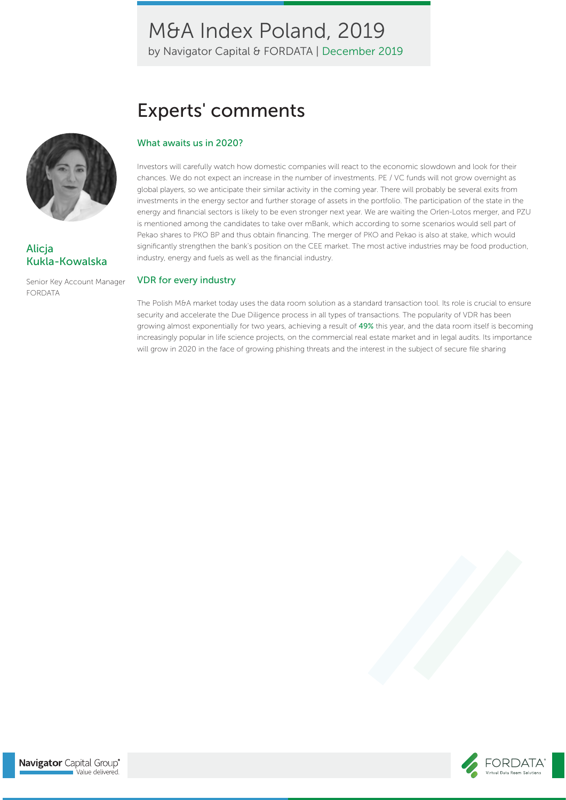by Navigator Capital & FORDATA | December 2019

# Experts' comments

### What awaits us in 2020?

Investors will carefully watch how domestic companies will react to the economic slowdown and look for their chances. We do not expect an increase in the number of investments. PE / VC funds will not grow overnight as global players, so we anticipate their similar activity in the coming year. There will probably be several exits from investments in the energy sector and further storage of assets in the portfolio. The participation of the state in the energy and financial sectors is likely to be even stronger next year. We are waiting the Orlen-Lotos merger, and PZU is mentioned among the candidates to take over mBank, which according to some scenarios would sell part of Pekao shares to PKO BP and thus obtain financing. The merger of PKO and Pekao is also at stake, which would significantly strengthen the bank's position on the CEE market. The most active industries may be food production, industry, energy and fuels as well as the financial industry.

#### VDR for every industry

The Polish M&A market today uses the data room solution as a standard transaction tool. Its role is crucial to ensure security and accelerate the Due Diligence process in all types of transactions. The popularity of VDR has been growing almost exponentially for two years, achieving a result of 49% this year, and the data room itself is becoming increasingly popular in life science projects, on the commercial real estate market and in legal audits. Its importance will grow in 2020 in the face of growing phishing threats and the interest in the subject of secure file sharing



Alicja Kukla-Kowalska

Senior Key Account Manager FORDATA